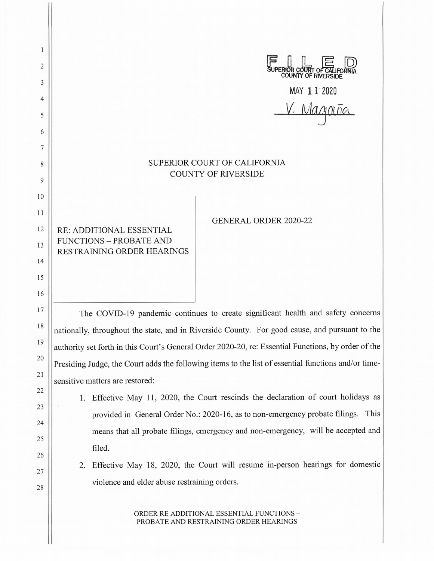| 1        |                                                                                                     |
|----------|-----------------------------------------------------------------------------------------------------|
| 2        | <b>RIOR COURT OF CALIFC</b><br>COUNTY OF RIVERSIDE                                                  |
| 3        | MAY 11 2020                                                                                         |
| 4        | . Magnina                                                                                           |
| 5        |                                                                                                     |
| 6<br>7   |                                                                                                     |
| 8        | SUPERIOR COURT OF CALIFORNIA                                                                        |
| 9        | <b>COUNTY OF RIVERSIDE</b>                                                                          |
| 10       |                                                                                                     |
| 11       |                                                                                                     |
| 12       | <b>GENERAL ORDER 2020-22</b><br>RE: ADDITIONAL ESSENTIAL                                            |
| 13       | <b>FUNCTIONS - PROBATE AND</b><br>RESTRAINING ORDER HEARINGS                                        |
| 14       |                                                                                                     |
| 15       |                                                                                                     |
| 16       |                                                                                                     |
| 17       | The COVID-19 pandemic continues to create significant health and safety concerns                    |
| 18       | nationally, throughout the state, and in Riverside County. For good cause, and pursuant to the      |
| 19       | authority set forth in this Court's General Order 2020-20, re: Essential Functions, by order of the |
| 20       | Presiding Judge, the Court adds the following items to the list of essential functions and/or time- |
| 21       | sensitive matters are restored:                                                                     |
| 22<br>23 | Effective May 11, 2020, the Court rescinds the declaration of court holidays as<br>1.               |
| 24       | provided in General Order No.: 2020-16, as to non-emergency probate filings. This                   |
| 25       | means that all probate filings, emergency and non-emergency, will be accepted and                   |
| 26       | filed.                                                                                              |
| 27       | Effective May 18, 2020, the Court will resume in-person hearings for domestic<br>2.                 |
| 28       | violence and elder abuse restraining orders.                                                        |
|          | ORDER RE ADDITIONAL ESSENTIAL FUNCTIONS -<br>PROBATE AND RESTRAINING ORDER HEARINGS                 |